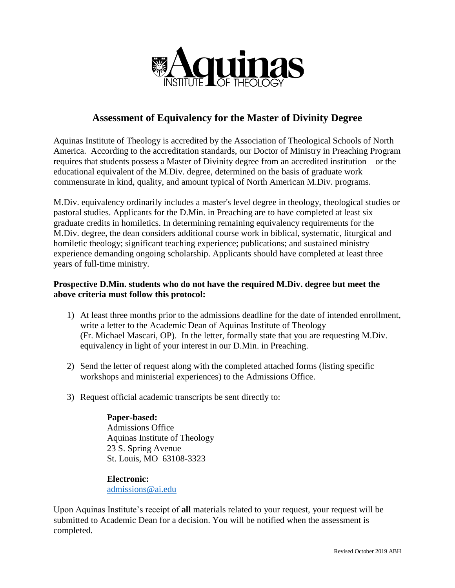

## **Assessment of Equivalency for the Master of Divinity Degree**

Aquinas Institute of Theology is accredited by the Association of Theological Schools of North America. According to the accreditation standards, our Doctor of Ministry in Preaching Program requires that students possess a Master of Divinity degree from an accredited institution—or the educational equivalent of the M.Div. degree, determined on the basis of graduate work commensurate in kind, quality, and amount typical of North American M.Div. programs.

M.Div. equivalency ordinarily includes a master's level degree in theology, theological studies or pastoral studies. Applicants for the D.Min. in Preaching are to have completed at least six graduate credits in homiletics. In determining remaining equivalency requirements for the M.Div. degree, the dean considers additional course work in biblical, systematic, liturgical and homiletic theology; significant teaching experience; publications; and sustained ministry experience demanding ongoing scholarship. Applicants should have completed at least three years of full-time ministry.

## **Prospective D.Min. students who do not have the required M.Div. degree but meet the above criteria must follow this protocol:**

- 1) At least three months prior to the admissions deadline for the date of intended enrollment, write a letter to the Academic Dean of Aquinas Institute of Theology (Fr. Michael Mascari, OP). In the letter, formally state that you are requesting M.Div. equivalency in light of your interest in our D.Min. in Preaching.
- 2) Send the letter of request along with the completed attached forms (listing specific workshops and ministerial experiences) to the Admissions Office.
- 3) Request official academic transcripts be sent directly to:

## **Paper-based:** Admissions Office Aquinas Institute of Theology 23 S. Spring Avenue St. Louis, MO 63108-3323

**Electronic:** admissions@ai.edu

Upon Aquinas Institute's receipt of **all** materials related to your request, your request will be submitted to Academic Dean for a decision. You will be notified when the assessment is completed.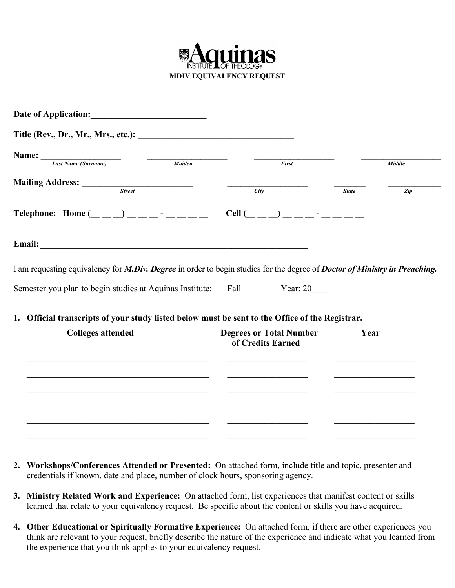

| Date of Application:                                                                                                       | <u> 1980 - Jan Stein Stein Stein Stein Stein Stein Stein Stein Stein Stein Stein Stein Stein Stein Stein Stein S</u> |      |                                                     |              |               |  |
|----------------------------------------------------------------------------------------------------------------------------|----------------------------------------------------------------------------------------------------------------------|------|-----------------------------------------------------|--------------|---------------|--|
|                                                                                                                            |                                                                                                                      |      |                                                     |              |               |  |
| Name:<br>Last Name (Surname)                                                                                               |                                                                                                                      |      |                                                     |              |               |  |
|                                                                                                                            | Maiden                                                                                                               |      | First                                               |              | <b>Middle</b> |  |
| Mailing Address: Street                                                                                                    |                                                                                                                      | City |                                                     | <b>State</b> | Zip           |  |
|                                                                                                                            |                                                                                                                      |      |                                                     |              |               |  |
| Telephone: Home $(\_ \_ \_) \_ \_ \_ \_ \_$                                                                                |                                                                                                                      |      | $Cell (\_\_\_\_\_) \_\_\_\_\_$ -                    |              |               |  |
|                                                                                                                            |                                                                                                                      |      |                                                     |              |               |  |
| I am requesting equivalency for M.Div. Degree in order to begin studies for the degree of Doctor of Ministry in Preaching. |                                                                                                                      |      |                                                     |              |               |  |
| Semester you plan to begin studies at Aquinas Institute:                                                                   |                                                                                                                      | Fall | Year: $20$                                          |              |               |  |
| 1. Official transcripts of your study listed below must be sent to the Office of the Registrar.                            |                                                                                                                      |      |                                                     |              |               |  |
| <b>Colleges attended</b>                                                                                                   |                                                                                                                      |      | <b>Degrees or Total Number</b><br>of Credits Earned |              | Year          |  |
|                                                                                                                            |                                                                                                                      |      |                                                     |              |               |  |
|                                                                                                                            |                                                                                                                      |      |                                                     |              |               |  |
|                                                                                                                            |                                                                                                                      |      |                                                     |              |               |  |
|                                                                                                                            |                                                                                                                      |      |                                                     |              |               |  |
|                                                                                                                            |                                                                                                                      |      |                                                     |              |               |  |

- **2. Workshops/Conferences Attended or Presented:** On attached form, include title and topic, presenter and credentials if known, date and place, number of clock hours, sponsoring agency.
- **3. Ministry Related Work and Experience:** On attached form, list experiences that manifest content or skills learned that relate to your equivalency request. Be specific about the content or skills you have acquired.
- **4. Other Educational or Spiritually Formative Experience:** On attached form, if there are other experiences you think are relevant to your request, briefly describe the nature of the experience and indicate what you learned from the experience that you think applies to your equivalency request.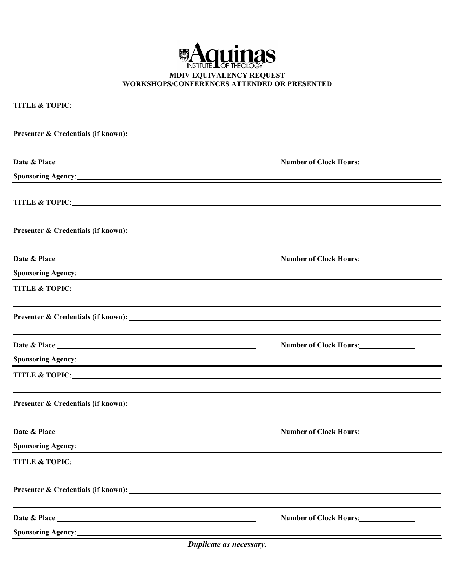

|                                                                                                                                                                                                                                      | Number of Clock Hours:        |
|--------------------------------------------------------------------------------------------------------------------------------------------------------------------------------------------------------------------------------------|-------------------------------|
|                                                                                                                                                                                                                                      |                               |
|                                                                                                                                                                                                                                      |                               |
| <b>TITLE &amp; TOPIC:</b>                                                                                                                                                                                                            |                               |
|                                                                                                                                                                                                                                      |                               |
|                                                                                                                                                                                                                                      | Number of Clock Hours:        |
| Sponsoring Agency: <u>Contractor Communications</u>                                                                                                                                                                                  |                               |
|                                                                                                                                                                                                                                      |                               |
|                                                                                                                                                                                                                                      |                               |
|                                                                                                                                                                                                                                      |                               |
|                                                                                                                                                                                                                                      |                               |
|                                                                                                                                                                                                                                      | <b>Number of Clock Hours:</b> |
| Sponsoring Agency: <u>Contract of the Contract of the Contract of the Contract of the Contract of the Contract of the Contract of the Contract of the Contract of the Contract of the Contract of the Contract of the Contract o</u> |                               |
| TITLE & TOPIC:                                                                                                                                                                                                                       |                               |
|                                                                                                                                                                                                                                      |                               |
|                                                                                                                                                                                                                                      |                               |
| Date & Place:                                                                                                                                                                                                                        | <b>Number of Clock Hours:</b> |
| Sponsoring Agency: <u>Agency:</u>                                                                                                                                                                                                    |                               |
| TITLE & TOPIC:                                                                                                                                                                                                                       |                               |
|                                                                                                                                                                                                                                      |                               |
|                                                                                                                                                                                                                                      |                               |
| Date & Place: <u>Date &amp; Place:</u>                                                                                                                                                                                               | Number of Clock Hours:        |
| <b>Sponsoring Agency:</b> Manual Communication of the Communication of the Communication of the Communication of the Communication of the Communication of the Communication of the Communication of the Communication of the Commu  |                               |
|                                                                                                                                                                                                                                      |                               |

*Duplicate as necessary.*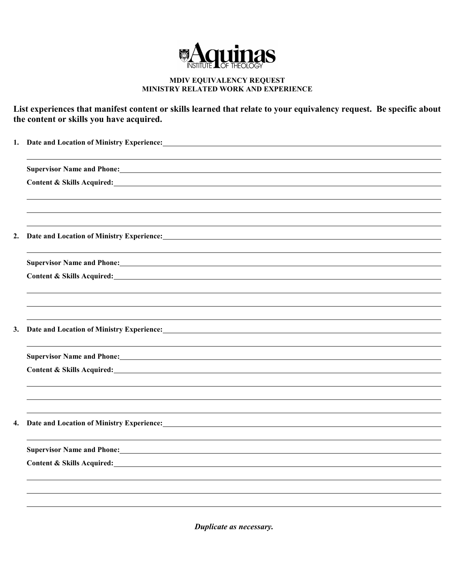

## **MDIV EQUIVALENCY REQUEST MINISTRY RELATED WORK AND EXPERIENCE**

**List experiences that manifest content or skills learned that relate to your equivalency request. Be specific about the content or skills you have acquired.**

| 1. | Date and Location of Ministry Experience: Manual According to the Ministry Experience:                                                                                                                                              |  |  |  |  |
|----|-------------------------------------------------------------------------------------------------------------------------------------------------------------------------------------------------------------------------------------|--|--|--|--|
|    |                                                                                                                                                                                                                                     |  |  |  |  |
|    | <b>Supervisor Name and Phone:</b> Manual Communication of the Communication of the Communication of the Communication of the Communication of the Communication of the Communication of the Communication of the Communication of t |  |  |  |  |
|    |                                                                                                                                                                                                                                     |  |  |  |  |
|    |                                                                                                                                                                                                                                     |  |  |  |  |
|    |                                                                                                                                                                                                                                     |  |  |  |  |
|    |                                                                                                                                                                                                                                     |  |  |  |  |
| 2. |                                                                                                                                                                                                                                     |  |  |  |  |
|    |                                                                                                                                                                                                                                     |  |  |  |  |
|    | <b>Supervisor Name and Phone:</b> Manual Communication of the Communication of the Communication of the Communication of the Communication of the Communication of the Communication of the Communication of the Communication of t |  |  |  |  |
|    | Content & Skills Acquired:<br><u>Content &amp; Skills Acquired:</u>                                                                                                                                                                 |  |  |  |  |
|    |                                                                                                                                                                                                                                     |  |  |  |  |
|    |                                                                                                                                                                                                                                     |  |  |  |  |
|    |                                                                                                                                                                                                                                     |  |  |  |  |
| 3. |                                                                                                                                                                                                                                     |  |  |  |  |
|    |                                                                                                                                                                                                                                     |  |  |  |  |
|    | Supervisor Name and Phone: 1988 and 2008 and 2008 and 2008 and 2008 and 2008 and 2008 and 2008 and 2008 and 20                                                                                                                      |  |  |  |  |
|    | Content & Skills Acquired: University of the Content of the Content of the Content of the Content of the Content of the Content of the Content of the Content of the Content of the Content of the Content of the Content of t      |  |  |  |  |
|    |                                                                                                                                                                                                                                     |  |  |  |  |
|    |                                                                                                                                                                                                                                     |  |  |  |  |
|    |                                                                                                                                                                                                                                     |  |  |  |  |
| 4. | Date and Location of Ministry Experience: Manual Contract of Alice and Location of Ministry Experience:                                                                                                                             |  |  |  |  |
|    |                                                                                                                                                                                                                                     |  |  |  |  |
|    | Supervisor Name and Phone: 1988 and 2008 and 2008 and 2008 and 2008 and 2008 and 2008 and 2008 and 2008 and 2008 and 2008 and 2008 and 2008 and 2008 and 2008 and 2008 and 2008 and 2008 and 2008 and 2008 and 2008 and 2008 a      |  |  |  |  |
|    | Content & Skills Acquired: Content & Skills Acquired:                                                                                                                                                                               |  |  |  |  |
|    |                                                                                                                                                                                                                                     |  |  |  |  |
|    |                                                                                                                                                                                                                                     |  |  |  |  |
|    |                                                                                                                                                                                                                                     |  |  |  |  |
|    |                                                                                                                                                                                                                                     |  |  |  |  |

*Duplicate as necessary.*